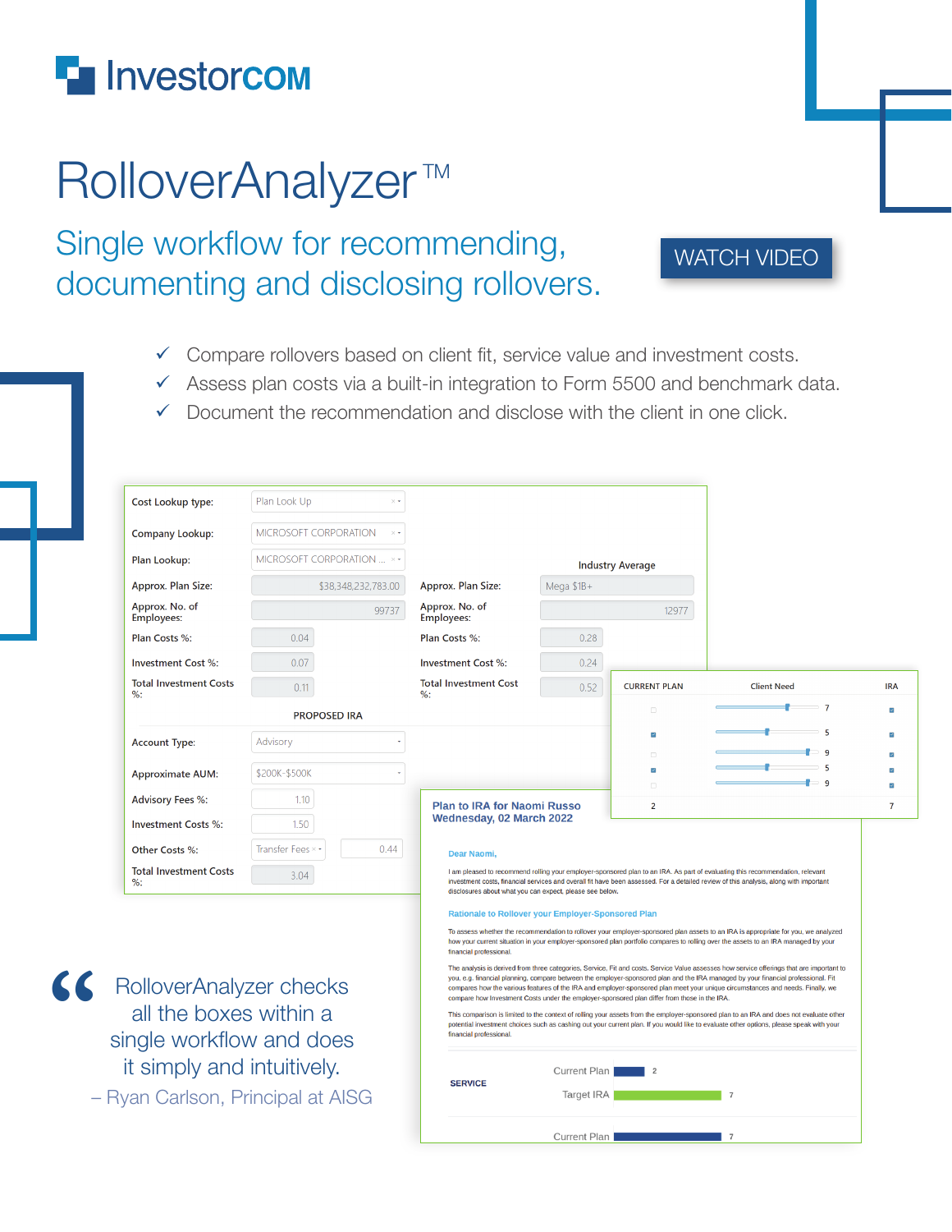## **F** Investorcom

**"**

## RolloverAnalyzer<sup>™</sup>

Single workflow for recommending, documenting and disclosing rollovers.

## [WATCH VIDEO](https://youtu.be/vPBNq8_oQWA)

- $\checkmark$  Compare rollovers based on client fit, service value and investment costs.
- $\checkmark$  Assess plan costs via a built-in integration to Form 5500 and benchmark data.
- $\checkmark$  Document the recommendation and disclose with the client in one click.

| Cost Lookup type:                                  | Plan Look Up<br>$\times$ +        |                                                                                                                                                                                                                                                                                                                                                                                                                                                                                                                  |                                                                                                                                                                                                                                                                                    |                         |                    |            |
|----------------------------------------------------|-----------------------------------|------------------------------------------------------------------------------------------------------------------------------------------------------------------------------------------------------------------------------------------------------------------------------------------------------------------------------------------------------------------------------------------------------------------------------------------------------------------------------------------------------------------|------------------------------------------------------------------------------------------------------------------------------------------------------------------------------------------------------------------------------------------------------------------------------------|-------------------------|--------------------|------------|
| <b>Company Lookup:</b>                             | <b>MICROSOFT CORPORATION</b>      |                                                                                                                                                                                                                                                                                                                                                                                                                                                                                                                  |                                                                                                                                                                                                                                                                                    |                         |                    |            |
| Plan Lookup:                                       | MICROSOFT CORPORATION  × •        |                                                                                                                                                                                                                                                                                                                                                                                                                                                                                                                  |                                                                                                                                                                                                                                                                                    | <b>Industry Average</b> |                    |            |
| Approx. Plan Size:                                 | \$38,348,232,783.00               | Approx. Plan Size:                                                                                                                                                                                                                                                                                                                                                                                                                                                                                               | Mega \$1B+                                                                                                                                                                                                                                                                         |                         |                    |            |
| Approx. No. of<br>Employees:                       | 99737                             | Approx. No. of<br><b>Employees:</b>                                                                                                                                                                                                                                                                                                                                                                                                                                                                              |                                                                                                                                                                                                                                                                                    | 12977                   |                    |            |
| Plan Costs %:                                      | 0.04                              | Plan Costs %:                                                                                                                                                                                                                                                                                                                                                                                                                                                                                                    | 0.28                                                                                                                                                                                                                                                                               |                         |                    |            |
| <b>Investment Cost %:</b>                          | 0.07                              | <b>Investment Cost %:</b>                                                                                                                                                                                                                                                                                                                                                                                                                                                                                        | 0.24                                                                                                                                                                                                                                                                               |                         |                    |            |
| <b>Total Investment Costs</b><br>$\%$ :            | 0.11                              | <b>Total Investment Cost</b><br>$\%$ :                                                                                                                                                                                                                                                                                                                                                                                                                                                                           | 0.52                                                                                                                                                                                                                                                                               | <b>CURRENT PLAN</b>     | <b>Client Need</b> | <b>IRA</b> |
|                                                    | <b>PROPOSED IRA</b>               |                                                                                                                                                                                                                                                                                                                                                                                                                                                                                                                  |                                                                                                                                                                                                                                                                                    | $\Box$                  | $\overline{7}$     |            |
| <b>Account Type:</b>                               | Advisory                          |                                                                                                                                                                                                                                                                                                                                                                                                                                                                                                                  |                                                                                                                                                                                                                                                                                    |                         |                    |            |
|                                                    |                                   |                                                                                                                                                                                                                                                                                                                                                                                                                                                                                                                  |                                                                                                                                                                                                                                                                                    | $\Box$                  |                    |            |
| <b>Approximate AUM:</b>                            | \$200K-\$500K                     |                                                                                                                                                                                                                                                                                                                                                                                                                                                                                                                  |                                                                                                                                                                                                                                                                                    |                         |                    |            |
| <b>Advisory Fees %:</b>                            | 1.10                              | <b>Plan to IRA for Naomi Russo</b>                                                                                                                                                                                                                                                                                                                                                                                                                                                                               | $\overline{2}$                                                                                                                                                                                                                                                                     |                         |                    |            |
| <b>Investment Costs %:</b>                         | 1.50                              | <b>Wednesday, 02 March 2022</b>                                                                                                                                                                                                                                                                                                                                                                                                                                                                                  |                                                                                                                                                                                                                                                                                    |                         |                    |            |
| Other Costs %:                                     | Transfer Fees ×<br>0.44           | Dear Naomi,                                                                                                                                                                                                                                                                                                                                                                                                                                                                                                      |                                                                                                                                                                                                                                                                                    |                         |                    |            |
| <b>Total Investment Costs</b><br>$%$ :             | 3.04                              | I am pleased to recommend rolling your employer-sponsored plan to an IRA. As part of evaluating this recommendation, relevant<br>investment costs, financial services and overall fit have been assessed. For a detailed review of this analysis, along with important<br>disclosures about what you can expect, please see below.                                                                                                                                                                               |                                                                                                                                                                                                                                                                                    |                         |                    |            |
|                                                    |                                   | <b>Rationale to Rollover your Employer-Sponsored Plan</b>                                                                                                                                                                                                                                                                                                                                                                                                                                                        |                                                                                                                                                                                                                                                                                    |                         |                    |            |
| RolloverAnalyzer checks                            |                                   | To assess whether the recommendation to rollover your employer-sponsored plan assets to an IRA is appropriate for you, we analyzed<br>how your current situation in your employer-sponsored plan portfolio compares to rolling over the assets to an IRA managed by your<br>financial professional.                                                                                                                                                                                                              |                                                                                                                                                                                                                                                                                    |                         |                    |            |
|                                                    |                                   | The analysis is derived from three categories, Service, Fit and costs. Service Value assesses how service offerings that are important to<br>you, e.g. financial planning, compare between the employer-sponsored plan and the IRA managed by your financial professional. Fit<br>compares how the various features of the IRA and employer-sponsored plan meet your unique circumstances and needs. Finally, we<br>compare how Investment Costs under the employer-sponsored plan differ from those in the IRA. |                                                                                                                                                                                                                                                                                    |                         |                    |            |
| all the boxes within a<br>single workflow and does |                                   | financial professional.                                                                                                                                                                                                                                                                                                                                                                                                                                                                                          | This comparison is limited to the context of rolling your assets from the employer-sponsored plan to an IRA and does not evaluate other<br>potential investment choices such as cashing out your current plan. If you would like to evaluate other options, please speak with your |                         |                    |            |
| it simply and intuitively.                         | - Ryan Carlson, Principal at AISG | <b>SERVICE</b>                                                                                                                                                                                                                                                                                                                                                                                                                                                                                                   | <b>Current Plan</b><br>Target IRA                                                                                                                                                                                                                                                  | 2                       | $\overline{7}$     |            |
|                                                    |                                   |                                                                                                                                                                                                                                                                                                                                                                                                                                                                                                                  |                                                                                                                                                                                                                                                                                    |                         |                    |            |